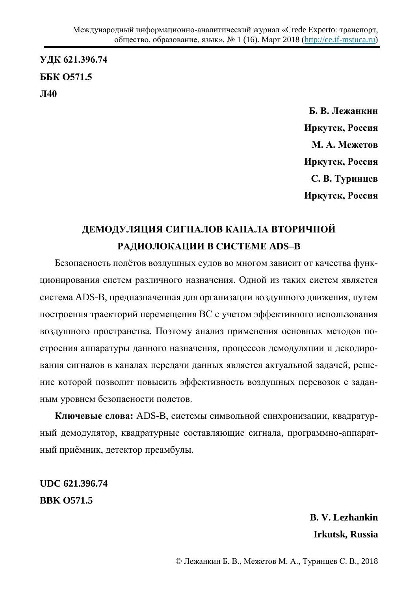**ɍȾɄ 621.396.74** ББК 0571.5 Л40

> **Б. В. Лежанкин Иркутск, Россия М. А. Межетов Иркутск, Россия** С. В. Туринцев **Иркутск, Россия**

## ДЕМОДУЛЯЦИЯ СИГНАЛОВ КАНАЛА ВТОРИЧНОЙ **ɊȺȾɂɈɅɈɄȺɐɂɂ ȼ ɋɂɋɌȿɆȿ ADS–B**

Безопасность полётов воздушных судов во многом зависит от качества функционирования систем различного назначения. Одной из таких систем является система ADS-B, предназначенная для организации воздушного движения, путем построения траекторий перемещения ВС с учетом эффективного использования воздушного пространства. Поэтому анализ применения основных методов построения аппаратуры данного назначения, процессов демодуляции и декодирования сигналов в каналах передачи данных является актуальной задачей, решение которой позволит повысить эффективность воздушных перевозок с заданным уровнем безопасности полетов.

Ключевые слова: ADS-B, системы символьной синхронизации, квадратурный демодулятор, квадратурные составляющие сигнала, программно-аппаратный приёмник, детектор преамбулы.

**UDC 621.396.74 BBK Ɉ571.5** 

> **B. V. Lezhankin Irkutsk, Russia**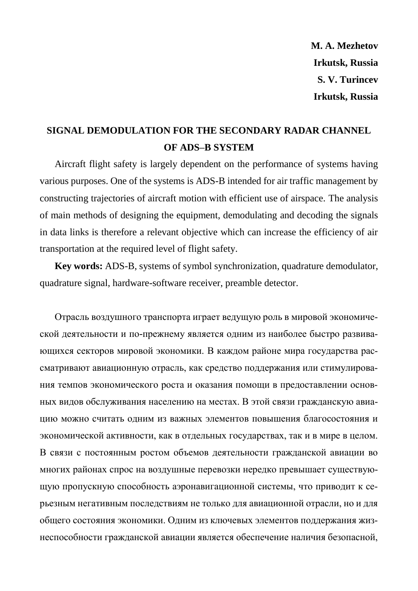**M. A. Mezhetov Irkutsk, Russia S. V. Turincev Irkutsk, Russia** 

## **SIGNAL DEMODULATION FOR THE SECONDARY RADAR CHANNEL OF ADS–B SYSTEM**

Aircraft flight safety is largely dependent on the performance of systems having various purposes. One of the systems is ADS-B intended for air traffic management by constructing trajectories of aircraft motion with efficient use of airspace. The analysis of main methods of designing the equipment, demodulating and decoding the signals in data links is therefore a relevant objective which can increase the efficiency of air transportation at the required level of flight safety.

**Key words:** ADS-B, systems of symbol synchronization, quadrature demodulator, quadrature signal, hardware-software receiver, preamble detector.

Отрасль воздушного транспорта играет ведущую роль в мировой экономической деятельности и по-прежнему является одним из наиболее быстро развивающихся секторов мировой экономики. В каждом районе мира государства рассматривают авиационную отрасль, как средство поддержания или стимулирования темпов экономического роста и оказания помощи в предоставлении основных видов обслуживания населению на местах. В этой связи гражданскую авиашию можно считать одним из важных элементов повышения благосостояния и экономической активности, как в отдельных государствах, так и в мире в целом. В связи с постоянным ростом объемов деятельности гражданской авиации во многих районах спрос на воздушные перевозки нередко превышает существующую пропускную способность аэронавигационной системы, что приводит к серьезным негативным последствиям не только для авиационной отрасли, но и для общего состояния экономики. Одним из ключевых элементов поддержания жизнеспособности гражданской авиации является обеспечение наличия безопасной,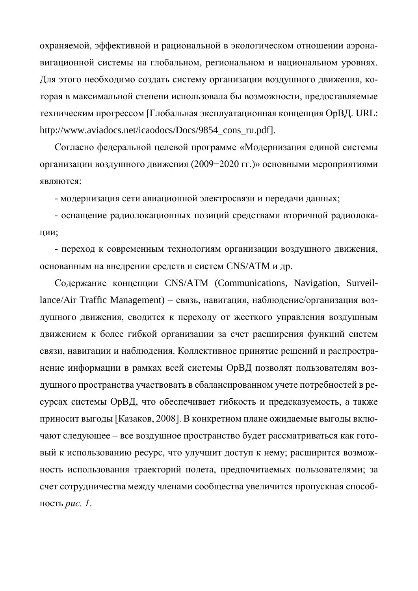охраняемой, эффективной и рациональной в экологическом отношении аэронавигационной системы на глобальном, региональном и национальном уровнях. Для этого необходимо создать систему организации воздушного движения, которая в максимальной степени использовала бы возможности, предоставляемые техническим прогрессом [Глобальная эксплуатационная концепция ОрВД. URL: http://www.aviadocs.net/icaodocs/Docs/9854\_cons\_ru.pdf].

Согласно федеральной целевой программе «Модернизация единой системы организации воздушного движения (2009–2020 гг.)» основными мероприятиями являются:

- модернизация сети авиационной электросвязи и передачи данных;

- оснащение радиолокационных позиций средствами вторичной радиолокации;

- переход к современным технологиям организации воздушного движения, основанным на внедрении средств и систем CNS/ATM и др.

Содержание концепции CNS/ATM (Communications, Navigation, Surveillance/Air Traffic Management) – связь, навигация, наблюдение/организация воздушного движения, сводится к переходу от жесткого управления воздушным движением к более гибкой организации за счет расширения функций систем связи, навигации и наблюдения. Коллективное принятие решений и распространение информации в рамках всей системы ОрВД позволят пользователям воздушного пространства участвовать в сбалансированном учете потребностей в ресурсах системы ОрВД, что обеспечивает гибкость и предсказуемость, а также приносит выгоды [Казаков, 2008]. В конкретном плане ожидаемые выгоды включают следующее – все воздушное пространство будет рассматриваться как готовый к использованию ресурс, что улучшит доступ к нему; расширится возможность использования траекторий полета, предпочитаемых пользователями; за счет сотрудничества между членами сообщества увеличится пропускная способность *рис. 1*.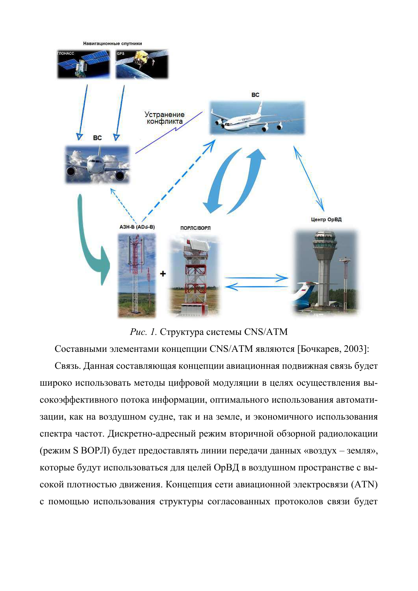

Рис. 1. Структура системы CNS/ATM

Составными элементами концепции CNS/ATM являются [Бочкарев, 2003]: Связь. Данная составляющая концепции авиационная подвижная связь будет широко использовать методы цифровой модуляции в целях осуществления высокоэффективного потока информации, оптимального использования автоматизации, как на воздушном судне, так и на земле, и экономичного использования спектра частот. Дискретно-адресный режим вторичной обзорной радиолокации (режим S ВОРЛ) будет предоставлять линии передачи данных «воздух – земля», которые будут использоваться для целей ОрВД в воздушном пространстве с высокой плотностью движения. Концепция сети авиационной электросвязи (ATN) с помощью использования структуры согласованных протоколов связи будет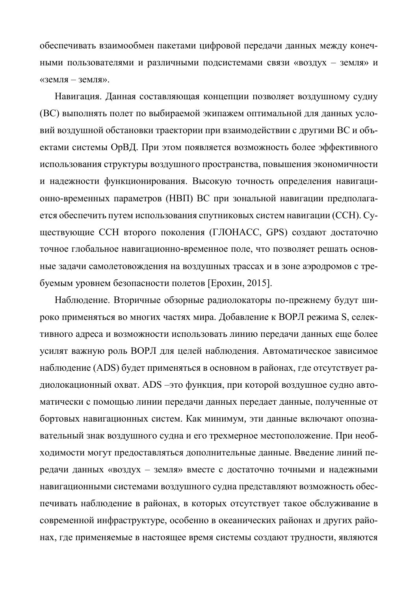обеспечивать взаимообмен пакетами цифровой передачи данных между конеч-НЫМИ ПОЛЬЗОВАТЕЛЯМИ И РАЗЛИЧНЫМИ ПОДСИСТЕМАМИ СВЯЗИ «ВОЗДУХ - ЗЕМЛЯ» И «земля – земля».

Навигация. Данная составляющая концепции позволяет воздушному судну (ВС) выполнять полет по выбираемой экипажем оптимальной для данных условий воздушной обстановки траектории при взаимодействии с другими ВС и объектами системы ОрВД. При этом появляется возможность более эффективного использования структуры воздушного пространства, повышения экономичности и надежности функционирования. Высокую точность определения навигационно-временных параметров (НВП) ВС при зональной навигации предполагается обеспечить путем использования спутниковых систем навигации (ССН). Существующие ССН второго поколения (ГЛОНАСС, GPS) создают достаточно точное глобальное навигационно-временное поле, что позволяет решать основные задачи самолетовождения на воздушных трассах и в зоне аэродромов с требуемым уровнем безопасности полетов [Ерохин, 2015].

Наблюдение. Вторичные обзорные радиолокаторы по-прежнему будут широко применяться во многих частях мира. Добавление к ВОРЛ режима S, селективного адреса и возможности использовать линию передачи данных еще более усилят важную роль ВОРЛ для целей наблюдения. Автоматическое зависимое наблюдение (ADS) будет применяться в основном в районах, где отсутствует радиолокационный охват. ADS –это функция, при которой воздушное судно автоматически с помощью линии передачи данных передает данные, полученные от бортовых навигационных систем. Как минимум, эти данные включают опознавательный знак воздушного судна и его трехмерное местоположение. При необходимости могут предоставляться дополнительные данные. Введение линий передачи данных «воздух – земля» вместе с достаточно точными и надежными навигационными системами воздушного судна представляют возможность обеспечивать наблюдение в районах, в которых отсутствует такое обслуживание в современной инфраструктуре, особенно в океанических районах и других районах, где применяемые в настоящее время системы создают трудности, являются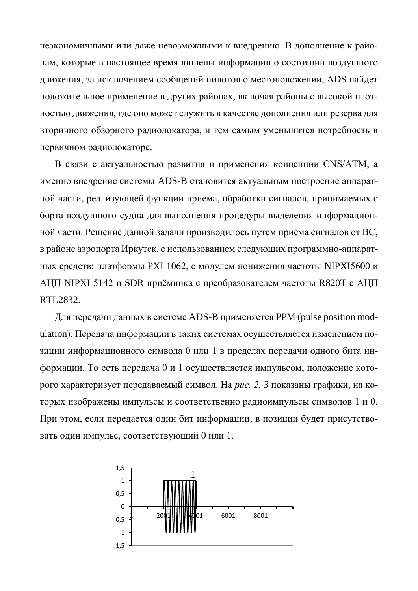неэкономичными или даже невозможными к внедрению. В дополнение к районам, которые в настоящее время лишены информации о состоянии воздушного движения, за исключением сообщений пилотов о местоположении, ADS найдет положительное применение в других районах, включая районы с высокой плотностью движения, где оно может служить в качестве дополнения или резерва для вторичного обзорного радиолокатора, и тем самым уменьшится потребность в первичном радиолокаторе.

В связи с актуальностью развития и применения концепции CNS/ATM, а именно внедрение системы ADS-B становится актуальным построение аппаратной части, реализующей функции приема, обработки сигналов, принимаемых с борта воздушного судна для выполнения процедуры выделения информационной части. Решение данной задачи производилось путем приема сигналов от ВС, в районе аэропорта Иркутск, с использованием следующих программно-аппаратных средств: платформы РХІ 1062, с модулем понижения частоты NIPXI5600 и АЦП NIPXI 5142 и SDR приёмника с преобразователем частоты R820T с АЦП RTL2832.

Для передачи данных в системе ADS-B применяется PPM (pulse position modulation). Передача информации в таких системах осуществляется изменением позиции информационного символа 0 или 1 в пределах передачи одного бита информации. То есть передача 0 и 1 осуществляется импульсом, положение которого характеризует передаваемый символ. На *рис. 2, 3* показаны графики, на которых изображены импульсы и соответственно радиоимпульсы символов 1 и 0. При этом, если передается один бит информации, в позиции будет присутствовать один импульс, соответствующий 0 или 1.

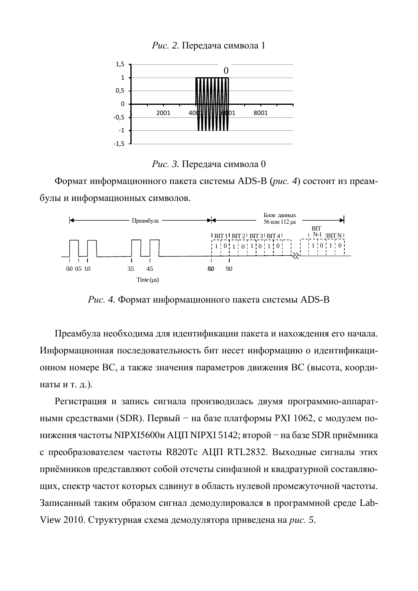*Рис.* 2. Передача символа 1





Формат информационного пакета системы ADS-B (рис. 4) состоит из преамбулы и информационных символов.



Рис. 4. Формат информационного пакета системы ADS-B

Преамбула необходима для идентификации пакета и нахождения его начала. Информационная последовательность бит несет информацию о идентификационном номере ВС, а также значения параметров движения ВС (высота, координаты и т. д.).

Регистрация и запись сигнала производилась двумя программно-аппаратными средствами (SDR). Первый – на базе платформы РХІ 1062, с модулем понижения частоты NIPXI5600и АЦП NIPXI 5142; второй – на базе SDR приёмника с преобразователем частоты R820Tc AЦП RTL2832. Выходные сигналы этих приёмников представляют собой отсчеты синфазной и квадратурной составляющих, спектр частот которых сдвинут в область нулевой промежуточной частоты. Записанный таким образом сигнал демодулировался в программной среде Lab-View 2010. Структурная схема демодулятора приведена на *рис.* 5.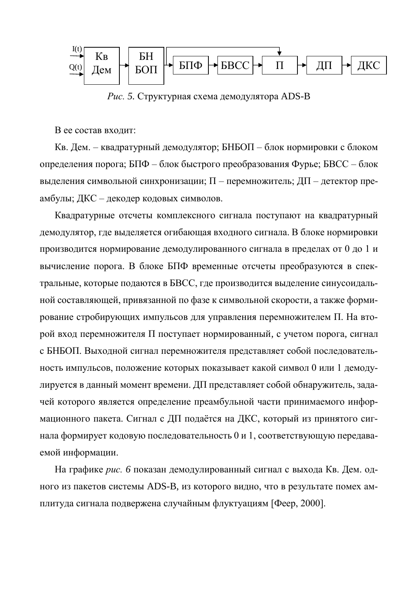

*Рис.* 5. Структурная схема демодулятора ADS-B

В ее состав входит:

Кв. Дем. – квадратурный демодулятор; БНБОП – блок нормировки с блоком определения порога; БПФ – блок быстрого преобразования Фурье; БВСС – блок выделения символьной синхронизации;  $\Pi$  – перемножитель; ДП – детектор преамбулы; ДКС – декодер кодовых символов.

Квадратурные отсчеты комплексного сигнала поступают на квадратурный демодулятор, где выделяется огибающая входного сигнала. В блоке нормировки производится нормирование демодулированного сигнала в пределах от 0 до 1 и вычисление порога. В блоке БПФ временные отсчеты преобразуются в спектральные, которые подаются в БВСС, где производится выделение синусоидальной составляющей, привязанной по фазе к символьной скорости, а также формирование стробирующих импульсов для управления перемножителем П. На второй вход перемножителя П поступает нормированный, с учетом порога, сигнал с БНБОП. Выходной сигнал перемножителя представляет собой последовательность импульсов, положение которых показывает какой символ 0 или 1 демодулируется в данный момент времени. ДП представляет собой обнаружитель, задачей которого является определение преамбульной части принимаемого информационного пакета. Сигнал с ДП подаётся на ДКС, который из принятого сигнала формирует кодовую последовательность 0 и 1, соответствующую передаваемой информации.

На графике рис. 6 показан демодулированный сигнал с выхода Кв. Дем. одного из пакетов системы ADS-B, из которого видно, что в результате помех амплитуда сигнала подвержена случайным флуктуациям [Феер, 2000].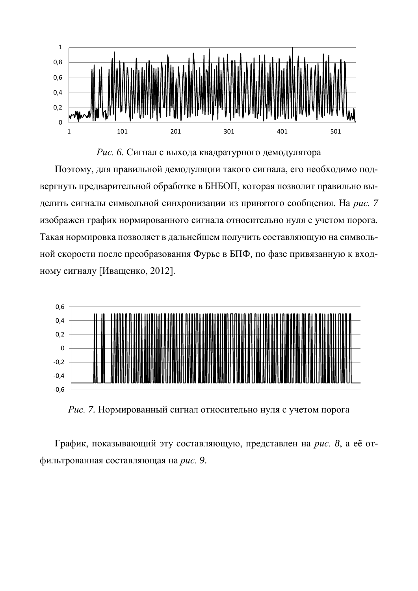

Рис. 6. Сигнал с выхода квадратурного демодулятора

Поэтому, для правильной демодуляции такого сигнала, его необходимо подвергнуть предварительной обработке в БНБОП, которая позволит правильно выделить сигналы символьной синхронизации из принятого сообщения. На рис. 7 изображен график нормированного сигнала относительно нуля с учетом порога. Такая нормировка позволяет в дальнейшем получить составляющую на символьной скорости после преобразования Фурье в БПФ, по фазе привязанную к входному сигналу [Иващенко, 2012].



Рис. 7. Нормированный сигнал относительно нуля с учетом порога

График, показывающий эту составляющую, представлен на *рис. 8*, а её отфильтрованная составляющая на рис. 9.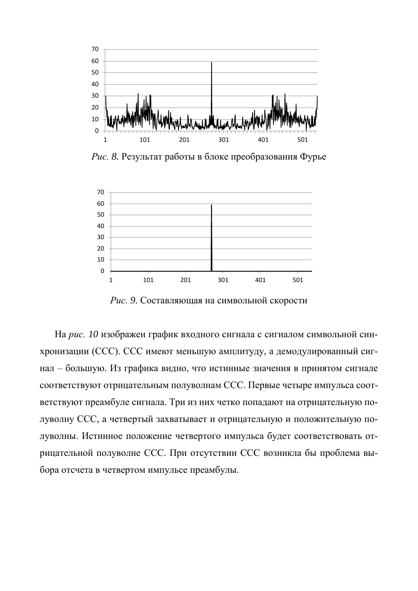

*Рис.* 8. Результат работы в блоке преобразования Фурье



Рис. 9. Составляющая на символьной скорости

На рис. 10 изображен график входного сигнала с сигналом символьной синхронизации (ССС). ССС имеют меньшую амплитуду, а демодулированный сигнал – большую. Из графика видно, что истинные значения в принятом сигнале соответствуют отрицательным полуволнам ССС. Первые четыре импульса соответствуют преамбуле сигнала. Три из них четко попадают на отрицательную полуволну ССС, а четвертый захватывает и отрицательную и положительную полуволны. Истинное положение четвертого импульса будет соответствовать отрицательной полуволне ССС. При отсутствии ССС возникла бы проблема выбора отсчета в четвертом импульсе преамбулы.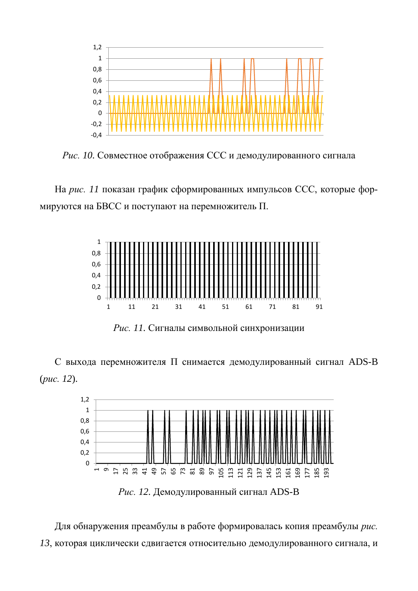

Рис. 10. Совместное отображения ССС и демодулированного сигнала

На рис. 11 показан график сформированных импульсов ССС, которые формируются на БВСС и поступают на перемножитель П.



Рис. 11. Сигналы символьной синхронизации

С выхода перемножителя П снимается демодулированный сигнал ADS-B (рис. 12).



Рис. 12. Демодулированный сигнал ADS-B

Для обнаружения преамбулы в работе формировалась копия преамбулы рис. 13, которая циклически сдвигается относительно демодулированного сигнала, и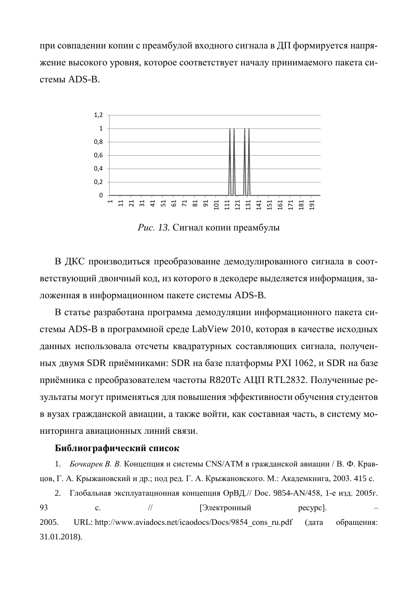при совпадении копии с преамбулой входного сигнала в ДП формируется напряжение высокого уровня, которое соответствует началу принимаемого пакета системы ADS-B.



Рис. 13. Сигнал копии преамбулы

В ДКС производиться преобразование демодулированного сигнала в соответствующий двоичный код, из которого в декодере выделяется информация, заложенная в информационном пакете системы ADS-B.

В статье разработана программа демодуляции информационного пакета системы ADS-В в программной среде LabView 2010, которая в качестве исходных данных использовала отсчеты квадратурных составляющих сигнала, полученных двумя SDR приёмниками: SDR на базе платформы PXI 1062, и SDR на базе приёмника с преобразователем частоты R820Tc АЦП RTL2832. Полученные результаты могут применяться для повышения эффективности обучения студентов в вузах гражданской авиации, а также войти, как составная часть, в систему мониторинга авиационных линий связи.

## **Библиографический список**

1. *Бочкарев В. В.* Концепция и системы CNS/АТМ в гражданской авиации / В. Ф. Кравцов, Г. А. Крыжановский и др.; под ред. Г. А. Крыжановского. М.: Академкнига, 2003. 415 с.

2. Глобальная эксплуатационная концепция ОрВД.// Doc. 9854-AN/458, 1-е изд. 2005г. 93 с. // [Электронный ресурс]. 2005. URL: http://www.aviadocs.net/icaodocs/Docs/9854 cons\_ru.pdf (дата обращения: 31.01.2018).